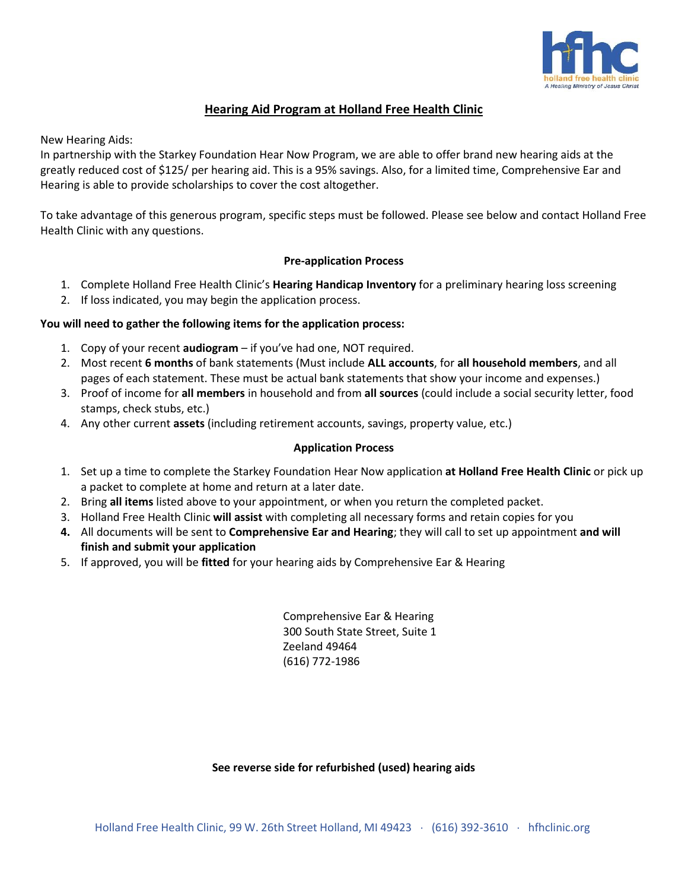

# **Hearing Aid Program at Holland Free Health Clinic**

New Hearing Aids:

In partnership with the Starkey Foundation Hear Now Program, we are able to offer brand new hearing aids at the greatly reduced cost of \$125/ per hearing aid. This is a 95% savings. Also, for a limited time, Comprehensive Ear and Hearing is able to provide scholarships to cover the cost altogether.

To take advantage of this generous program, specific steps must be followed. Please see below and contact Holland Free Health Clinic with any questions.

### **Pre-application Process**

- 1. Complete Holland Free Health Clinic's **Hearing Handicap Inventory** for a preliminary hearing loss screening
- 2. If loss indicated, you may begin the application process.

## **You will need to gather the following items for the application process:**

- 1. Copy of your recent **audiogram** if you've had one, NOT required.
- 2. Most recent **6 months** of bank statements (Must include **ALL accounts**, for **all household members**, and all pages of each statement. These must be actual bank statements that show your income and expenses.)
- 3. Proof of income for **all members** in household and from **all sources** (could include a social security letter, food stamps, check stubs, etc.)
- 4. Any other current **assets** (including retirement accounts, savings, property value, etc.)

#### **Application Process**

- 1. Set up a time to complete the Starkey Foundation Hear Now application **at Holland Free Health Clinic** or pick up a packet to complete at home and return at a later date.
- 2. Bring **all items** listed above to your appointment, or when you return the completed packet.
- 3. Holland Free Health Clinic **will assist** with completing all necessary forms and retain copies for you
- **4.** All documents will be sent to **Comprehensive Ear and Hearing**; they will call to set up appointment **and will finish and submit your application**
- 5. If approved, you will be **fitted** for your hearing aids by Comprehensive Ear & Hearing

Comprehensive Ear & Hearing 300 South State Street, Suite 1 Zeeland 49464 (616) 772-1986

#### **See reverse side for refurbished (used) hearing aids**